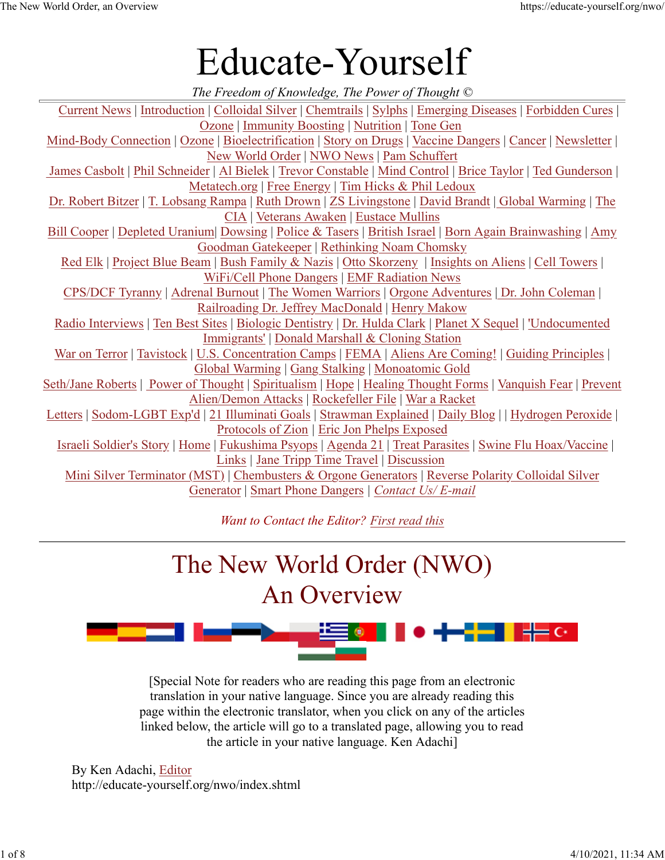# Educate-Yourself

| The Freedom of Knowledge, The Power of Thought $\odot$                                                       |
|--------------------------------------------------------------------------------------------------------------|
| Current News   Introduction   Colloidal Silver   Chemtrails   Sylphs   Emerging Diseases   Forbidden Cures   |
| Ozone   Immunity Boosting   Nutrition   Tone Gen                                                             |
| Mind-Body Connection   Ozone   Bioelectrification   Story on Drugs   Vaccine Dangers   Cancer   Newsletter   |
| New World Order   NWO News   Pam Schuffert                                                                   |
| James Casbolt   Phil Schneider   Al Bielek   Trevor Constable   Mind Control   Brice Taylor   Ted Gunderson  |
| Metatech.org   Free Energy   Tim Hicks & Phil Ledoux                                                         |
| Dr. Robert Bitzer   T. Lobsang Rampa   Ruth Drown   ZS Livingstone   David Brandt   Global Warming   The     |
| <b>CIA</b>   Veterans Awaken   Eustace Mullins                                                               |
| Bill Cooper   Depleted Uranium  Dowsing   Police & Tasers   British Israel   Born Again Brainwashing   Amy   |
| <b>Goodman Gatekeeper   Rethinking Noam Chomsky</b>                                                          |
| Red Elk   Project Blue Beam   Bush Family & Nazis   Otto Skorzeny   Insights on Aliens   Cell Towers         |
| WiFi/Cell Phone Dangers   EMF Radiation News                                                                 |
| CPS/DCF Tyranny   Adrenal Burnout   The Women Warriors   Orgone Adventures   Dr. John Coleman                |
| Railroading Dr. Jeffrey MacDonald   Henry Makow                                                              |
| Radio Interviews   Ten Best Sites   Biologic Dentistry   Dr. Hulda Clark   Planet X Sequel   'Undocumented   |
| Immigrants'   Donald Marshall & Cloning Station                                                              |
| War on Terror   Tavistock   U.S. Concentration Camps   FEMA   Aliens Are Coming!   Guiding Principles        |
| Global Warming   Gang Stalking   Monoatomic Gold                                                             |
| Seth/Jane Roberts   Power of Thought   Spiritualism   Hope   Healing Thought Forms   Vanquish Fear   Prevent |
| Alien/Demon Attacks   Rockefeller File   War a Racket                                                        |
| Letters   Sodom-LGBT Exp'd   21 Illuminati Goals   Strawman Explained   Daily Blog     Hydrogen Peroxide     |
| Protocols of Zion   Eric Jon Phelps Exposed                                                                  |
| Israeli Soldier's Story   Home   Fukushima Psyops   Agenda 21   Treat Parasites   Swine Flu Hoax/Vaccine     |
| Links   Jane Tripp Time Travel   Discussion                                                                  |
| Mini Silver Terminator (MST)   Chembusters & Orgone Generators   Reverse Polarity Colloidal Silver           |
| Generator   Smart Phone Dangers   Contact Us/ E-mail                                                         |
|                                                                                                              |

*Want to Contact the Editor? First read this*

# The New World Order (NWO)

# An Overview



[Special Note for readers who are reading this page from an electronic translation in your native language. Since you are already reading this page within the electronic translator, when you click on any of the articles linked below, the article will go to a translated page, allowing you to read the article in your native language. Ken Adachi]

By Ken Adachi, Editor http://educate-yourself.org/nwo/index.shtml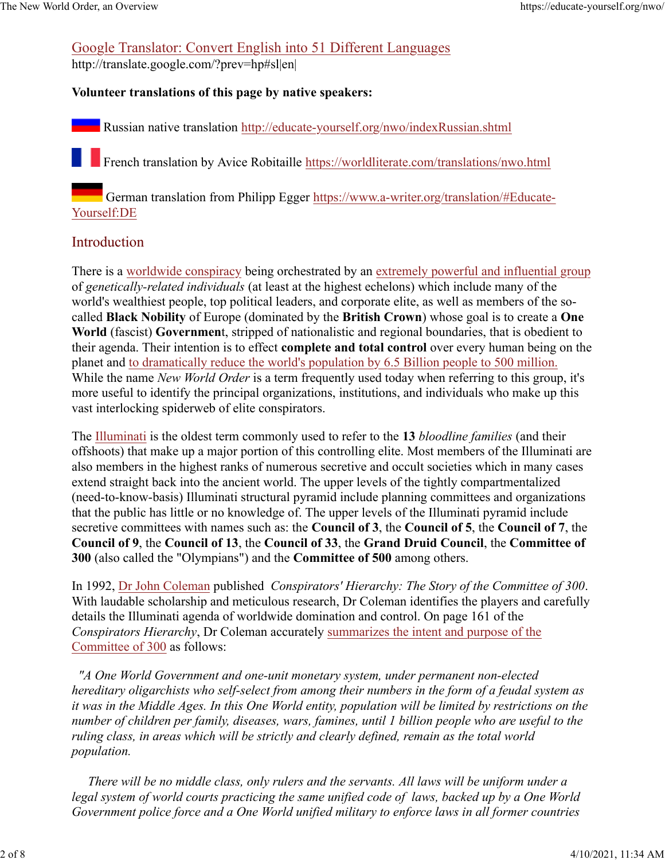### Google Translator: Convert English into 51 Different Languages

http://translate.google.com/?prev=hp#sl|en|

### **Volunteer translations of this page by native speakers:**

Russian native translation http://educate-yourself.org/nwo/indexRussian.shtml

French translation by Avice Robitaille https://worldliterate.com/translations/nwo.html

German translation from Philipp Egger https://www.a-writer.org/translation/#Educate-Yourself:DE

### Introduction

There is a worldwide conspiracy being orchestrated by an extremely powerful and influential group of *genetically-related individuals* (at least at the highest echelons) which include many of the world's wealthiest people, top political leaders, and corporate elite, as well as members of the socalled **Black Nobility** of Europe (dominated by the **British Crown**) whose goal is to create a **One World** (fascist) **Governmen**t, stripped of nationalistic and regional boundaries, that is obedient to their agenda. Their intention is to effect **complete and total control** over every human being on the planet and to dramatically reduce the world's population by 6.5 Billion people to 500 million. While the name *New World Order* is a term frequently used today when referring to this group, it's more useful to identify the principal organizations, institutions, and individuals who make up this vast interlocking spiderweb of elite conspirators.

The Illuminati is the oldest term commonly used to refer to the **13** *bloodline families* (and their offshoots) that make up a major portion of this controlling elite. Most members of the Illuminati are also members in the highest ranks of numerous secretive and occult societies which in many cases extend straight back into the ancient world. The upper levels of the tightly compartmentalized (need-to-know-basis) Illuminati structural pyramid include planning committees and organizations that the public has little or no knowledge of. The upper levels of the Illuminati pyramid include secretive committees with names such as: the **Council of 3**, the **Council of 5**, the **Council of 7**, the **Council of 9**, the **Council of 13**, the **Council of 33**, the **Grand Druid Council**, the **Committee of 300** (also called the "Olympians") and the **Committee of 500** among others.

In 1992, Dr John Coleman published *Conspirators' Hierarchy: The Story of the Committee of 300*. With laudable scholarship and meticulous research, Dr Coleman identifies the players and carefully details the Illuminati agenda of worldwide domination and control. On page 161 of the *Conspirators Hierarchy*, Dr Coleman accurately summarizes the intent and purpose of the Committee of 300 as follows:

*"A One World Government and one-unit monetary system, under permanent non-elected hereditary oligarchists who self-select from among their numbers in the form of a feudal system as it was in the Middle Ages. In this One World entity, population will be limited by restrictions on the number of children per family, diseases, wars, famines, until 1 billion people who are useful to the ruling class, in areas which will be strictly and clearly defined, remain as the total world population.*

 *There will be no middle class, only rulers and the servants. All laws will be uniform under a legal system of world courts practicing the same unified code of laws, backed up by a One World Government police force and a One World unified military to enforce laws in all former countries*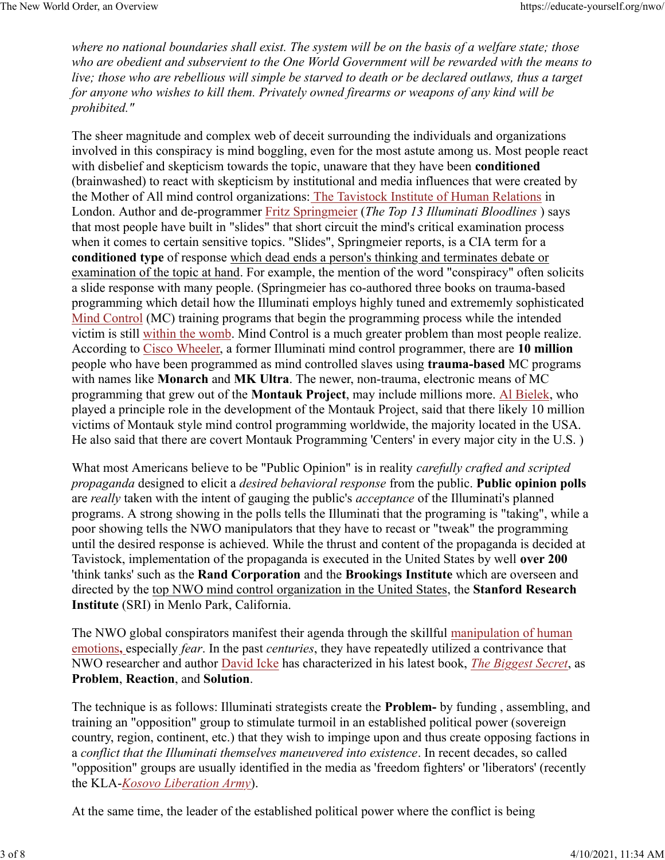*where no national boundaries shall exist. The system will be on the basis of a welfare state; those who are obedient and subservient to the One World Government will be rewarded with the means to live; those who are rebellious will simple be starved to death or be declared outlaws, thus a target for anyone who wishes to kill them. Privately owned firearms or weapons of any kind will be prohibited."*

The sheer magnitude and complex web of deceit surrounding the individuals and organizations involved in this conspiracy is mind boggling, even for the most astute among us. Most people react with disbelief and skepticism towards the topic, unaware that they have been **conditioned** (brainwashed) to react with skepticism by institutional and media influences that were created by the Mother of All mind control organizations: The Tavistock Institute of Human Relations in London. Author and de-programmer Fritz Springmeier (*The Top 13 Illuminati Bloodlines* ) says that most people have built in "slides" that short circuit the mind's critical examination process when it comes to certain sensitive topics. "Slides", Springmeier reports, is a CIA term for a **conditioned type** of response which dead ends a person's thinking and terminates debate or examination of the topic at hand. For example, the mention of the word "conspiracy" often solicits a slide response with many people. (Springmeier has co-authored three books on trauma-based programming which detail how the Illuminati employs highly tuned and extrememly sophisticated Mind Control (MC) training programs that begin the programming process while the intended victim is still within the womb. Mind Control is a much greater problem than most people realize. According to Cisco Wheeler, a former Illuminati mind control programmer, there are **10 million** people who have been programmed as mind controlled slaves using **trauma-based** MC programs with names like **Monarch** and **MK Ultra**. The newer, non-trauma, electronic means of MC programming that grew out of the **Montauk Project**, may include millions more. Al Bielek, who played a principle role in the development of the Montauk Project, said that there likely 10 million victims of Montauk style mind control programming worldwide, the majority located in the USA. He also said that there are covert Montauk Programming 'Centers' in every major city in the U.S. )

What most Americans believe to be "Public Opinion" is in reality *carefully crafted and scripted propaganda* designed to elicit a *desired behavioral response* from the public. **Public opinion polls** are *really* taken with the intent of gauging the public's *acceptance* of the Illuminati's planned programs. A strong showing in the polls tells the Illuminati that the programing is "taking", while a poor showing tells the NWO manipulators that they have to recast or "tweak" the programming until the desired response is achieved. While the thrust and content of the propaganda is decided at Tavistock, implementation of the propaganda is executed in the United States by well **over 200** 'think tanks' such as the **Rand Corporation** and the **Brookings Institute** which are overseen and directed by the top NWO mind control organization in the United States, the **Stanford Research Institute** (SRI) in Menlo Park, California.

The NWO global conspirators manifest their agenda through the skillful manipulation of human emotions**,** especially *fear*. In the past *centuries*, they have repeatedly utilized a contrivance that NWO researcher and author David Icke has characterized in his latest book, *The Biggest Secret*, as **Problem**, **Reaction**, and **Solution**.

The technique is as follows: Illuminati strategists create the **Problem-** by funding , assembling, and training an "opposition" group to stimulate turmoil in an established political power (sovereign country, region, continent, etc.) that they wish to impinge upon and thus create opposing factions in a *conflict that the Illuminati themselves maneuvered into existence*. In recent decades, so called "opposition" groups are usually identified in the media as 'freedom fighters' or 'liberators' (recently the KLA-*Kosovo Liberation Army*).

At the same time, the leader of the established political power where the conflict is being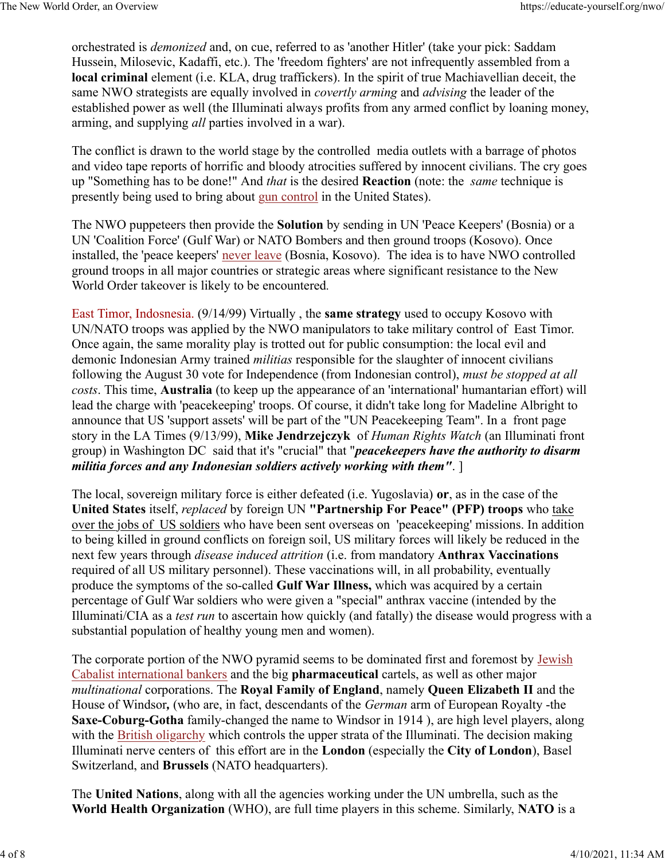orchestrated is *demonized* and, on cue, referred to as 'another Hitler' (take your pick: Saddam Hussein, Milosevic, Kadaffi, etc.). The 'freedom fighters' are not infrequently assembled from a **local criminal** element (i.e. KLA, drug traffickers). In the spirit of true Machiavellian deceit, the same NWO strategists are equally involved in *covertly arming* and *advising* the leader of the established power as well (the Illuminati always profits from any armed conflict by loaning money, arming, and supplying *all* parties involved in a war).

The conflict is drawn to the world stage by the controlled media outlets with a barrage of photos and video tape reports of horrific and bloody atrocities suffered by innocent civilians. The cry goes up "Something has to be done!" And *that* is the desired **Reaction** (note: the *same* technique is presently being used to bring about gun control in the United States).

The NWO puppeteers then provide the **Solution** by sending in UN 'Peace Keepers' (Bosnia) or a UN 'Coalition Force' (Gulf War) or NATO Bombers and then ground troops (Kosovo). Once installed, the 'peace keepers' never leave (Bosnia, Kosovo). The idea is to have NWO controlled ground troops in all major countries or strategic areas where significant resistance to the New World Order takeover is likely to be encountered*.*

East Timor, Indosnesia. (9/14/99) Virtually , the **same strategy** used to occupy Kosovo with UN/NATO troops was applied by the NWO manipulators to take military control of East Timor. Once again, the same morality play is trotted out for public consumption: the local evil and demonic Indonesian Army trained *militias* responsible for the slaughter of innocent civilians following the August 30 vote for Independence (from Indonesian control), *must be stopped at all costs*. This time, **Australia** (to keep up the appearance of an 'international' humantarian effort) will lead the charge with 'peacekeeping' troops. Of course, it didn't take long for Madeline Albright to announce that US 'support assets' will be part of the "UN Peacekeeping Team". In a front page story in the LA Times (9/13/99), **Mike Jendrzejczyk** of *Human Rights Watch* (an Illuminati front group) in Washington DC said that it's "crucial" that "*peacekeepers have the authority to disarm militia forces and any Indonesian soldiers actively working with them"*. ]

The local, sovereign military force is either defeated (i.e. Yugoslavia) **or**, as in the case of the **United States** itself, *replaced* by foreign UN **"Partnership For Peace" (PFP) troops** who take over the jobs of US soldiers who have been sent overseas on 'peacekeeping' missions. In addition to being killed in ground conflicts on foreign soil, US military forces will likely be reduced in the next few years through *disease induced attrition* (i.e. from mandatory **Anthrax Vaccinations** required of all US military personnel). These vaccinations will, in all probability, eventually produce the symptoms of the so-called **Gulf War Illness,** which was acquired by a certain percentage of Gulf War soldiers who were given a "special" anthrax vaccine (intended by the Illuminati/CIA as a *test run* to ascertain how quickly (and fatally) the disease would progress with a substantial population of healthy young men and women).

The corporate portion of the NWO pyramid seems to be dominated first and foremost by Jewish Cabalist international bankers and the big **pharmaceutical** cartels, as well as other major *multinational* corporations. The **Royal Family of England**, namely **Queen Elizabeth II** and the House of Windsor*,* (who are, in fact, descendants of the *German* arm of European Royalty -the **Saxe-Coburg-Gotha** family-changed the name to Windsor in 1914 ), are high level players, along with the British oligarchy which controls the upper strata of the Illuminati. The decision making Illuminati nerve centers of this effort are in the **London** (especially the **City of London**), Basel Switzerland, and **Brussels** (NATO headquarters).

The **United Nations**, along with all the agencies working under the UN umbrella, such as the **World Health Organization** (WHO), are full time players in this scheme. Similarly, **NATO** is a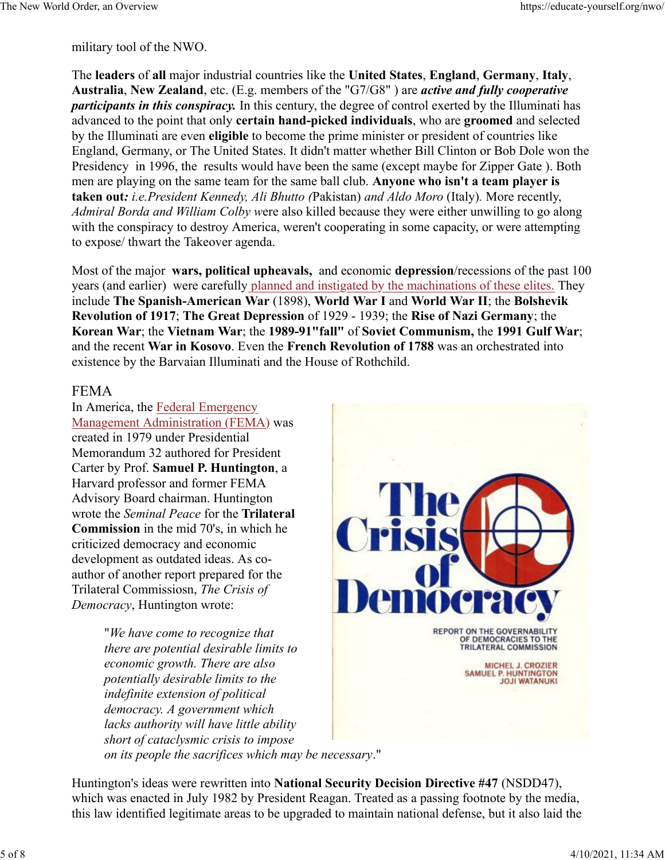military tool of the NWO.

The **leaders** of **all** major industrial countries like the **United States**, **England**, **Germany**, **Italy**, **Australia**, **New Zealand**, etc. (E.g. members of the "G7/G8" ) are *active and fully cooperative participants in this conspiracy.* In this century, the degree of control exerted by the Illuminati has advanced to the point that only **certain hand-picked individuals**, who are **groomed** and selected by the Illuminati are even **eligible** to become the prime minister or president of countries like England, Germany, or The United States. It didn't matter whether Bill Clinton or Bob Dole won the Presidency in 1996, the results would have been the same (except maybe for Zipper Gate ). Both men are playing on the same team for the same ball club. **Anyone who isn't a team player is taken out***: i.e.President Kennedy, Ali Bhutto (*Pakistan) *and Aldo Moro* (Italy)*.* More recently, *Admiral Borda and William Colby w*ere also killed because they were either unwilling to go along with the conspiracy to destroy America, weren't cooperating in some capacity, or were attempting to expose/ thwart the Takeover agenda.

Most of the major **wars, political upheavals,** and economic **depression**/recessions of the past 100 years (and earlier) were carefully planned and instigated by the machinations of these elites. They include **The Spanish-American War** (1898), **World War I** and **World War II**; the **Bolshevik Revolution of 1917**; **The Great Depression** of 1929 - 1939; the **Rise of Nazi Germany**; the **Korean War**; the **Vietnam War**; the **1989-91"fall"** of **Soviet Communism,** the **1991 Gulf War**; and the recent **War in Kosovo**. Even the **French Revolution of 1788** was an orchestrated into existence by the Barvaian Illuminati and the House of Rothchild.

#### FEMA

In America, the Federal Emergency Management Administration (FEMA) was created in 1979 under Presidential Memorandum 32 authored for President Carter by Prof. **Samuel P. Huntington**, a Harvard professor and former FEMA Advisory Board chairman. Huntington wrote the *Seminal Peace* for the **Trilateral Commission** in the mid 70's, in which he criticized democracy and economic development as outdated ideas. As coauthor of another report prepared for the Trilateral Commissiosn, *The Crisis of Democracy*, Huntington wrote:

> "*We have come to recognize that there are potential desirable limits to economic growth. There are also potentially desirable limits to the indefinite extension of political democracy. A government which lacks authority will have little ability short of cataclysmic crisis to impose on its people the sacrifices which may be necessary*."



Huntington's ideas were rewritten into **National Security Decision Directive #47** (NSDD47), which was enacted in July 1982 by President Reagan. Treated as a passing footnote by the media, this law identified legitimate areas to be upgraded to maintain national defense, but it also laid the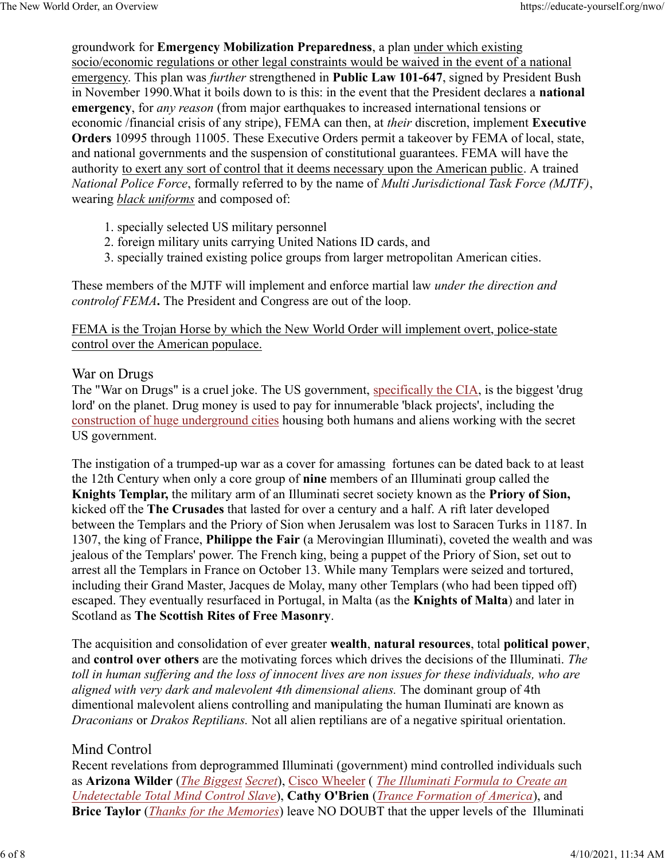groundwork for **Emergency Mobilization Preparedness**, a plan under which existing socio/economic regulations or other legal constraints would be waived in the event of a national emergency. This plan was *further* strengthened in **Public Law 101-647**, signed by President Bush in November 1990.What it boils down to is this: in the event that the President declares a **national emergency**, for *any reason* (from major earthquakes to increased international tensions or economic /financial crisis of any stripe), FEMA can then, at *their* discretion, implement **Executive Orders** 10995 through 11005. These Executive Orders permit a takeover by FEMA of local, state, and national governments and the suspension of constitutional guarantees. FEMA will have the authority to exert any sort of control that it deems necessary upon the American public. A trained *National Police Force*, formally referred to by the name of *Multi Jurisdictional Task Force (MJTF)*, wearing *black uniforms* and composed of:

- 1. specially selected US military personnel
- 2. foreign military units carrying United Nations ID cards, and
- 3. specially trained existing police groups from larger metropolitan American cities.

These members of the MJTF will implement and enforce martial law *under the direction and controlof FEMA***.** The President and Congress are out of the loop.

FEMA is the Trojan Horse by which the New World Order will implement overt, police-state control over the American populace.

#### War on Drugs

The "War on Drugs" is a cruel joke. The US government, specifically the CIA, is the biggest 'drug lord' on the planet. Drug money is used to pay for innumerable 'black projects', including the construction of huge underground cities housing both humans and aliens working with the secret US government.

The instigation of a trumped-up war as a cover for amassing fortunes can be dated back to at least the 12th Century when only a core group of **nine** members of an Illuminati group called the **Knights Templar,** the military arm of an Illuminati secret society known as the **Priory of Sion,** kicked off the **The Crusades** that lasted for over a century and a half. A rift later developed between the Templars and the Priory of Sion when Jerusalem was lost to Saracen Turks in 1187. In 1307, the king of France, **Philippe the Fair** (a Merovingian Illuminati), coveted the wealth and was jealous of the Templars' power. The French king, being a puppet of the Priory of Sion, set out to arrest all the Templars in France on October 13. While many Templars were seized and tortured, including their Grand Master, Jacques de Molay, many other Templars (who had been tipped off) escaped. They eventually resurfaced in Portugal, in Malta (as the **Knights of Malta**) and later in Scotland as **The Scottish Rites of Free Masonry**.

The acquisition and consolidation of ever greater **wealth**, **natural resources**, total **political power**, and **control over others** are the motivating forces which drives the decisions of the Illuminati. *The toll in human suffering and the loss of innocent lives are non issues for these individuals, who are aligned with very dark and malevolent 4th dimensional aliens.* The dominant group of 4th dimentional malevolent aliens controlling and manipulating the human Iluminati are known as *Draconians* or *Drakos Reptilians.* Not all alien reptilians are of a negative spiritual orientation.

#### Mind Control

Recent revelations from deprogrammed Illuminati (government) mind controlled individuals such as **Arizona Wilder** (*The Biggest Secret*), Cisco Wheeler ( *The Illuminati Formula to Create an Undetectable Total Mind Control Slave*), **Cathy O'Brien** (*Trance Formation of America*), and **Brice Taylor** (*Thanks for the Memories*) leave NO DOUBT that the upper levels of the Illuminati